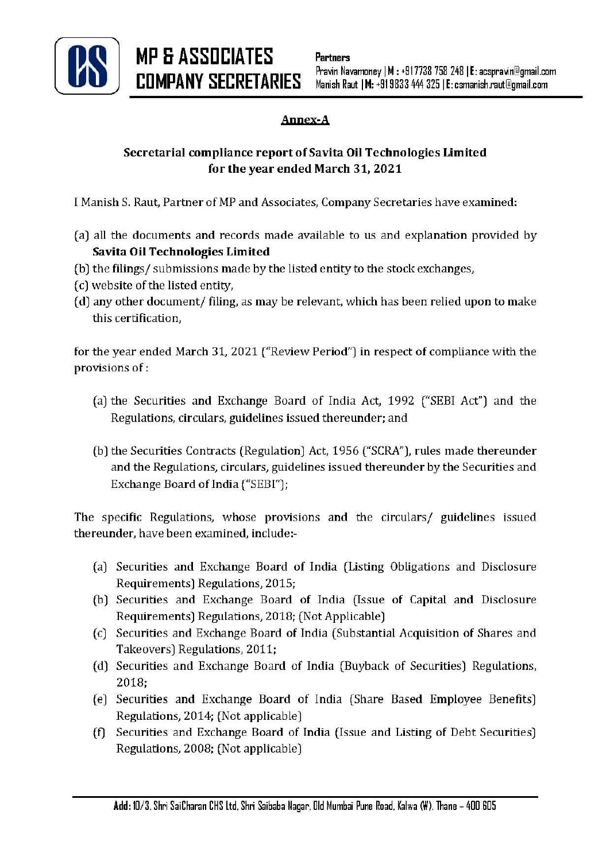

## Annex-A

## Secretarial compliance report of Savita Oil Technologies Limited for the year ended March 31, 2021

I Manish S. Raut, Partner of MP and Associates, Company Secretaries have examined:

- (a) all the documents and records made available to us and explanation provided by Savita Oil Technologies Limited
- (b) the filings/ submissions made by the listed entity to the stock exchanges,
- (c) website of the listed entity,
- (d) any other document/ filing, as may be relevant, which has been relied upon to make this certification,

for the year ended March 31, 2021 ("Review Period") in respect of compliance with the provisions of:

- (a) the Securities and Exchange Board of India Act, 1992 ("SEBI Act") and the Regulations, circulars, guidelines issued thereunder; and
- (b) the Securities Contracts (Regulation) Act, 1956 ("SCRA"), rules made thereunder and the Regulations, circulars, guidelines issued thereunder by the Securities and Exchange Board of India ("SEBI");

The specific Regulations, whose provisions and the circulars/ guidelines issued thereunder, have been examined, include:-

- (a) Securities and Exchange Board of India (Listing Obligations and Disclosure Requirements) Regulations, 2015;
- (b) Securities and Exchange Board of India (Issue of Capital and Disclosure Requirements) Regulations, 2018; (Not Applicable)
- (c) Securities and Exchange Board of India (Substantial Acquisition of Shares and Takeovers) Regulations, 2011;
- (d) Securities and Exchange Board of India (Buyback of Securities) Regulations, 2018;
- (e) Securities and Exchange Board of India (Share Based Employee Benefits) Regulations, 2014; (Not applicable)
- (f) Securities and Exchange Board of India (Issue and Listing of Debt Securities) Regulations, 2008; (Not applicable)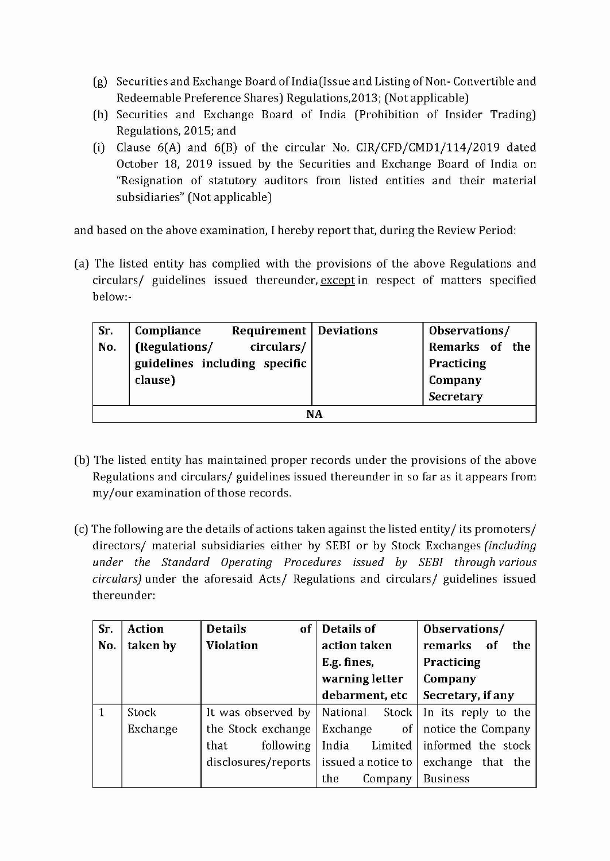- (g) Securities and Exchange Board ofindia(lssue and Listing of Non- Convertible and Redeemable Preference Shares) Regulations,2013; (Not applicable)
- (h) Securities and Exchange Board of India (Prohibition of Insider Trading) Regulations, 2015; and
- (i) Clause  $6(A)$  and  $6(B)$  of the circular No. CIR/CFD/CMD1/114/2019 dated October 18, 2019 issued by the Securities and Exchange Board of India on "Resignation of statutory auditors from listed entities and their material subsidiaries" (Not applicable)

and based on the above examination, I hereby report that, during the Review Period:

(a) The listed entity has complied with the provisions of the above Regulations and circulars/ guidelines issued thereunder, except in respect of matters specified below:-

| Sr.       | Compliance<br><b>Requirement</b>   Deviations |  | Observations/  |  |  |
|-----------|-----------------------------------------------|--|----------------|--|--|
| No.       | (Regulations/<br>circulars/                   |  | Remarks of the |  |  |
|           | guidelines including specific                 |  | Practicing     |  |  |
|           | clause)                                       |  | Company        |  |  |
|           |                                               |  | Secretary      |  |  |
| <b>NA</b> |                                               |  |                |  |  |

- (b) The listed entity has maintained proper records under the provisions of the above Regulations and circulars/ guidelines issued thereunder in so far as it appears from my/our examination of those records.
- (c) The following are the details of actions taken against the listed entity/its promoters/ directors/ material subsidiaries either by SEBI or by Stock Exchanges *(including under the Standard Operating Procedures issued by SEBI through various circulars)* under the aforesaid Acts/ Regulations and circulars/ guidelines issued thereunder:

| Sr. | <b>Action</b> | <b>Details</b><br>of | <b>Details of</b>    | Observations/       |  |  |
|-----|---------------|----------------------|----------------------|---------------------|--|--|
| No. | taken by      | <b>Violation</b>     | action taken         | remarks of<br>the   |  |  |
|     |               |                      | E.g. fines,          | Practicing          |  |  |
|     |               |                      | warning letter       | Company             |  |  |
|     |               |                      | debarment, etc       | Secretary, if any   |  |  |
|     | Stock         | It was observed by   | National<br>Stock    | In its reply to the |  |  |
|     | Exchange      | the Stock exchange   | Exchange<br>$\sigma$ | notice the Company  |  |  |
|     |               | following<br>that    | India<br>Limited     | informed the stock  |  |  |
|     |               | disclosures/reports  | issued a notice to   | exchange that the   |  |  |
|     |               |                      | the<br>Company       | <b>Business</b>     |  |  |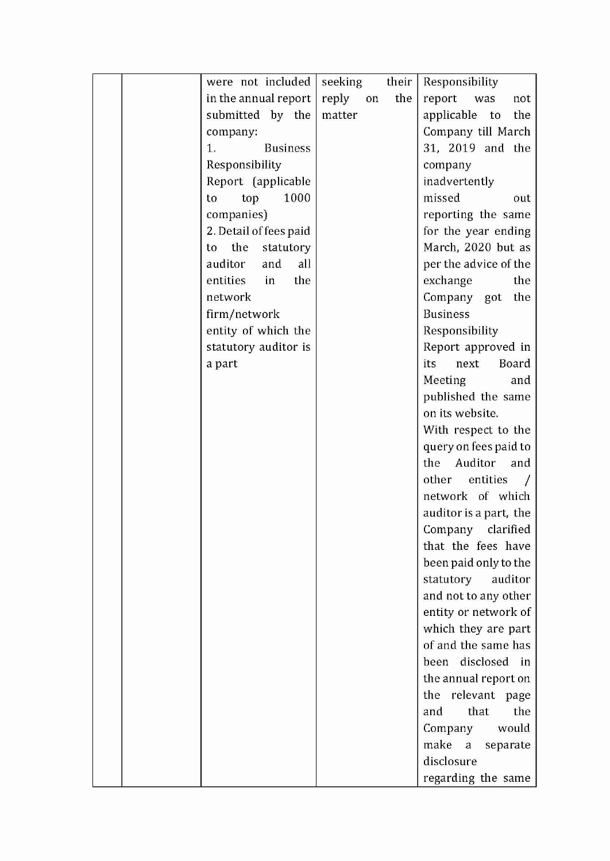|  | were not included      | seeking      | their | Responsibility         |
|--|------------------------|--------------|-------|------------------------|
|  | in the annual report   | reply<br>on. | the   | report<br>was<br>not   |
|  | submitted by the       | matter       |       | applicable to<br>the   |
|  | company:               |              |       | Company till March     |
|  | 1.<br><b>Business</b>  |              |       | 31, 2019 and the       |
|  | Responsibility         |              |       | company                |
|  | Report (applicable     |              |       | inadvertently          |
|  | 1000<br>top<br>to      |              |       | missed<br>out          |
|  | companies)             |              |       | reporting the same     |
|  | 2. Detail of fees paid |              |       | for the year ending    |
|  | the<br>statutory<br>to |              |       | March, 2020 but as     |
|  | all<br>auditor<br>and  |              |       | per the advice of the  |
|  | entities<br>in<br>the  |              |       | exchange<br>the        |
|  | network                |              |       | Company got<br>the     |
|  | firm/network           |              |       | <b>Business</b>        |
|  | entity of which the    |              |       | Responsibility         |
|  | statutory auditor is   |              |       | Report approved in     |
|  | a part                 |              |       | Board<br>its<br>next   |
|  |                        |              |       | Meeting<br>and         |
|  |                        |              |       | published the same     |
|  |                        |              |       | on its website.        |
|  |                        |              |       | With respect to the    |
|  |                        |              |       | query on fees paid to  |
|  |                        |              |       | the<br>Auditor<br>and  |
|  |                        |              |       | other<br>entities      |
|  |                        |              |       | network of which       |
|  |                        |              |       | auditor is a part, the |
|  |                        |              |       | Company<br>clarified   |
|  |                        |              |       | that the fees have     |
|  |                        |              |       | been paid only to the  |
|  |                        |              |       | statutory auditor      |
|  |                        |              |       | and not to any other   |
|  |                        |              |       | entity or network of   |
|  |                        |              |       | which they are part    |
|  |                        |              |       | of and the same has    |
|  |                        |              |       | disclosed in<br>been   |
|  |                        |              |       | the annual report on   |
|  |                        |              |       | the relevant page      |
|  |                        |              |       | that<br>the<br>and     |
|  |                        |              |       | Company<br>would       |
|  |                        |              |       | make a<br>separate     |
|  |                        |              |       | disclosure             |
|  |                        |              |       | regarding the same     |